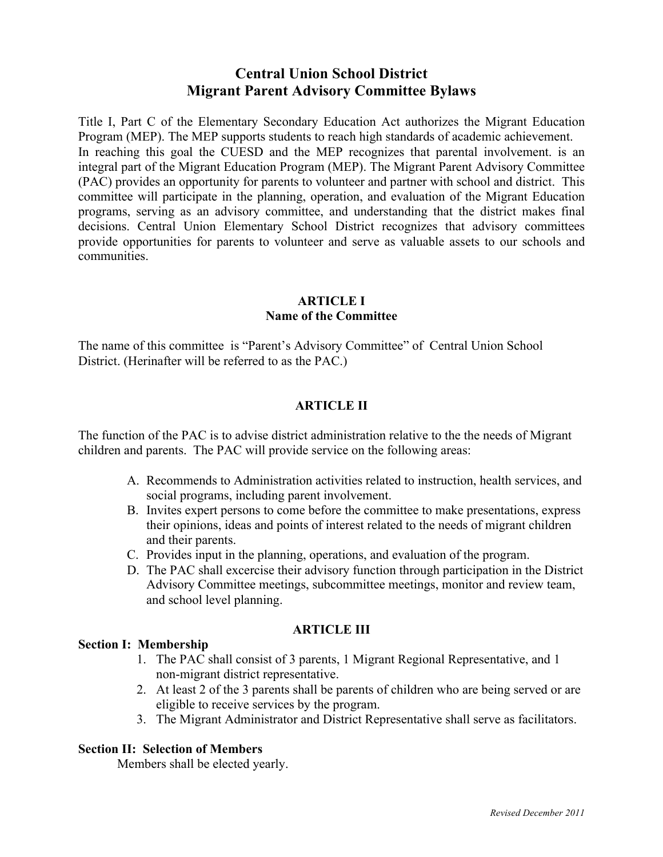# **Central Union School District Migrant Parent Advisory Committee Bylaws**

Title I, Part C of the Elementary Secondary Education Act authorizes the Migrant Education Program (MEP). The MEP supports students to reach high standards of academic achievement. In reaching this goal the CUESD and the MEP recognizes that parental involvement. is an integral part of the Migrant Education Program (MEP). The Migrant Parent Advisory Committee (PAC) provides an opportunity for parents to volunteer and partner with school and district. This committee will participate in the planning, operation, and evaluation of the Migrant Education programs, serving as an advisory committee, and understanding that the district makes final decisions. Central Union Elementary School District recognizes that advisory committees provide opportunities for parents to volunteer and serve as valuable assets to our schools and communities.

## **ARTICLE I Name of the Committee**

The name of this committee is "Parent's Advisory Committee" of Central Union School District. (Herinafter will be referred to as the PAC.)

## **ARTICLE II**

The function of the PAC is to advise district administration relative to the the needs of Migrant children and parents. The PAC will provide service on the following areas:

- A. Recommends to Administration activities related to instruction, health services, and social programs, including parent involvement.
- B. Invites expert persons to come before the committee to make presentations, express their opinions, ideas and points of interest related to the needs of migrant children and their parents.
- C. Provides input in the planning, operations, and evaluation of the program.
- D. The PAC shall excercise their advisory function through participation in the District Advisory Committee meetings, subcommittee meetings, monitor and review team, and school level planning.

## **ARTICLE III**

## **Section I: Membership**

- 1. The PAC shall consist of 3 parents, 1 Migrant Regional Representative, and 1 non-migrant district representative.
- 2. At least 2 of the 3 parents shall be parents of children who are being served or are eligible to receive services by the program.
- 3. The Migrant Administrator and District Representative shall serve as facilitators.

### **Section II: Selection of Members**

Members shall be elected yearly.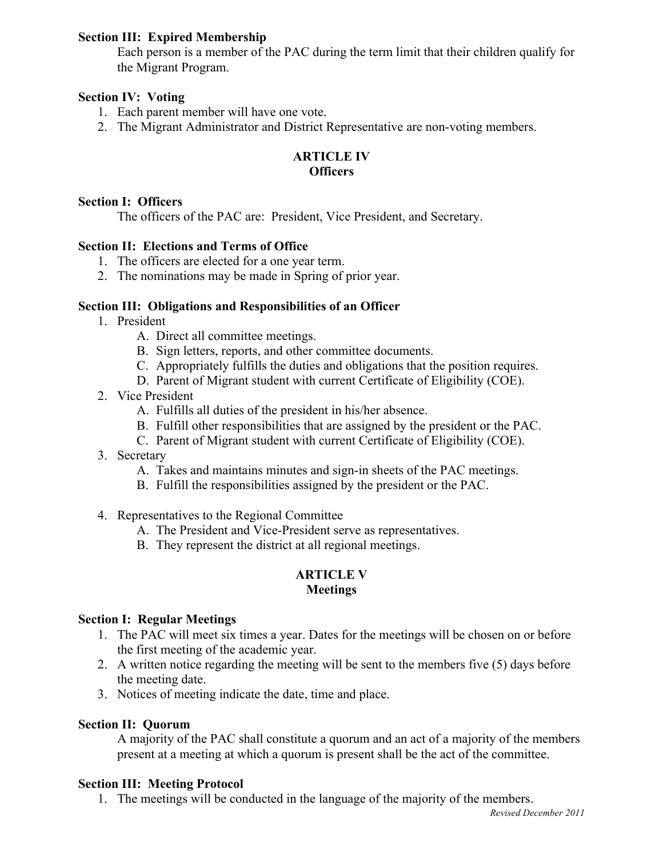### **Section III: Expired Membership**

Each person is a member of the PAC during the term limit that their children qualify for the Migrant Program.

### **Section IV: Voting**

- 1. Each parent member will have one vote.
- 2. The Migrant Administrator and District Representative are non-voting members.

## **ARTICLE IV Officers**

### **Section I: Officers**

The officers of the PAC are: President, Vice President, and Secretary.

## **Section II: Elections and Terms of Office**

- 1. The officers are elected for a one year term.
- 2. The nominations may be made in Spring of prior year.

### **Section III: Obligations and Responsibilities of an Officer**

- 1. President
	- A. Direct all committee meetings.
	- B. Sign letters, reports, and other committee documents.
	- C. Appropriately fulfills the duties and obligations that the position requires.
	- D. Parent of Migrant student with current Certificate of Eligibility (COE).
- 2. Vice President
	- A. Fulfills all duties of the president in his/her absence.
	- B. Fulfill other responsibilities that are assigned by the president or the PAC.
	- C. Parent of Migrant student with current Certificate of Eligibility (COE).
- 3. Secretary
	- A. Takes and maintains minutes and sign-in sheets of the PAC meetings.
	- B. Fulfill the responsibilities assigned by the president or the PAC.
- 4. Representatives to the Regional Committee
	- A. The President and Vice-President serve as representatives.
	- B. They represent the district at all regional meetings.

### **ARTICLE V Meetings**

#### **Section I: Regular Meetings**

- 1. The PAC will meet six times a year. Dates for the meetings will be chosen on or before the first meeting of the academic year.
- 2. A written notice regarding the meeting will be sent to the members five (5) days before the meeting date.
- 3. Notices of meeting indicate the date, time and place.

### **Section II: Quorum**

A majority of the PAC shall constitute a quorum and an act of a majority of the members present at a meeting at which a quorum is present shall be the act of the committee.

### **Section III: Meeting Protocol**

1. The meetings will be conducted in the language of the majority of the members.